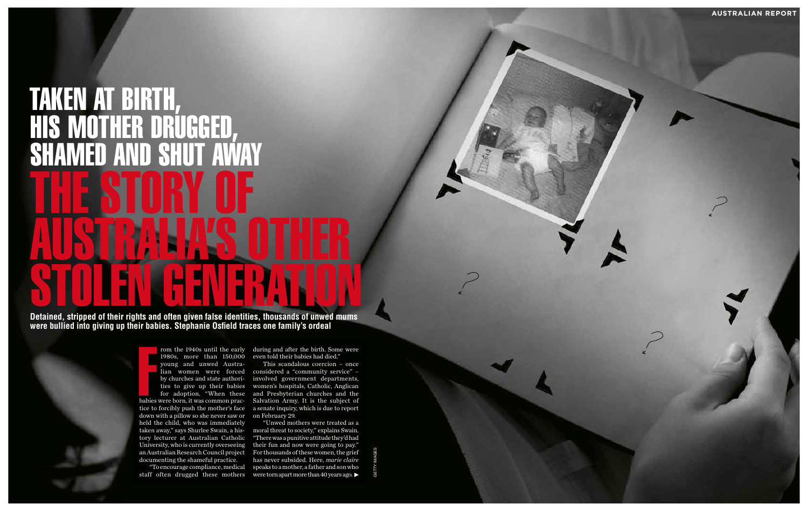Formulation of the state of the state of the state of the state of the state of the state of the state of the state of the state of the state of the state of the state of the state of the state of the state of the state of 1980s, more than 150,000 even told their babies had died." young and unwed Austratice to forcibly push the mother's face down with a pillow so she never saw or held the child, who was immediately tory lecturer at Australian Catholic documenting the shameful practice.

rom the 1940s until the early during and after the birth. Some were

lian women were forced considered a "community service" – by churches and state authori - involved government departments, ties to give up their babies women's hospitals, Catholic, Anglican for adoption. "When these and Presbyterian churches and the babies were born, it was common prac - Salvation Army. It is the subject of This scandalous coercion – once a senate inquiry, which is due to report on February 29.

# TAKEN AT BI RTH, HIS MOTHER DRUGGED, S<br>S AMED AND SHI THE STORY OF AUSTRALIA'S OTHER **STOLEN GENERATION GENERATION**<br>Detained, stripped of their rights and often given false identities, thousands of unwed mums

taken away," says Shurlee Swain, a his - moral threat to society," explains Swain. University, who is currently overseeing their fun and now were going to pay." an Australian Research Council project For thousands of these women, the grief "To encourage compliance, medical speaks to a mother, a father and son who "Unwed mothers were treated as a "There was a punitive attitude they'd had has never subsided. Here, *marie claire*

staff often drugged these mothers were torn apart more than 40 years ago.

**were bullied into giving up their babies. Stephanie Osfield traces one family's ordeal**

getty images

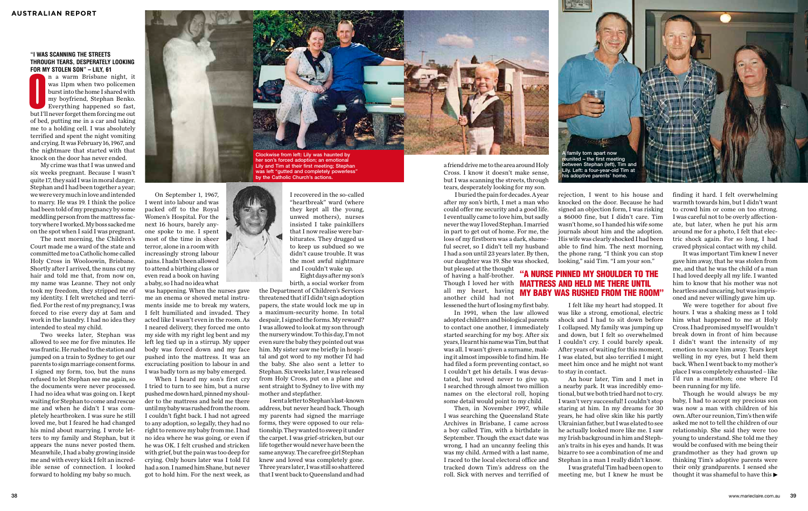#### **"I WAS SCANNING THE STREETS THROUGH TEARS, DESPERATELY LOOKING FOR MY STOLEN SON" – LILY, 61**

Frame of the Hill, or the Hill, or the Hill, or the Hill, it was 11pm when two policement burst into the home I shared with my boyfriend, Stephan Benko. Everything happened so fast, but I'll never forget them forcing me ou was 11pm when two policemen burst into the home I shared with my boyfriend, Stephan Benko. Everything happened so fast, of bed, putting me in a car and taking me to a holding cell. I was absolutely terrified and spent the night vomiting and crying. It was February 16, 1967, and the nightmare that started with that knock on the door has never ended.

My crime was that I was unwed and six weeks pregnant. Because I wasn't quite 17, they said I was in moral danger. Stephan and I had been together a year; we were very much in love and intended to marry. He was 19. I think the police had been told of my pregnancy by some meddling person from the mattress factory where I worked. My boss sacked me on the spot when I said I was pregnant.

The next morning, the Children's Court made me a ward of the state and committed me to a Catholic home called Holy Cross in Wooloowin, Brisbane. Shortly after I arrived, the nuns cut my hair and told me that, from now on, my name was Leanne. They not only took my freedom, they stripped me of my identity. I felt wretched and terrified. For the rest of my pregnancy, I was forced to rise every day at 5am and work in the laundry. I had no idea they intended to steal my child.

Two weeks later, Stephan was allowed to see me for five minutes. He was frantic. He rushed to the station and jumped on a train to Sydney to get our parents to sign marriage consent forms. I signed my form, too, but the nuns refused to let Stephan see me again, so the documents were never processed. I had no idea what was going on. I kept waiting for Stephan to come and rescue me and when he didn't I was completely heartbroken. I was sure he still loved me, but I feared he had changed his mind about marrying. I wrote letters to my family and Stephan, but it appears the nuns never posted them. Meanwhile, I had a baby growing inside me and with every kick I felt an incredible sense of connection. I looked forward to holding my baby so much.

On September 1, 1967, I went into labour and was packed off to the Royal Women's Hospital. For the next 16 hours, barely anyone spoke to me. I spent most of the time in sheer terror, alone in a room with increasingly strong labour pains. I hadn't been allowed to attend a birthing class or even read a book on having a baby, so I had no idea what

was happening. When the nurses gave me an enema or shoved metal instruments inside me to break my waters, I felt humiliated and invaded. They acted like I wasn't even in the room. As I neared delivery, they forced me onto my side with my right leg bent and my left leg tied up in a stirrup. My upper body was forced down and my face pushed into the mattress. It was an excruciating position to labour in and I was badly torn as my baby emerged.

When I heard my son's first cry I tried to turn to see him, but a nurse pushed me down hard, pinned my shoulder to the mattress and held me there until my baby was rushed from the room. I couldn't fight back. I had not agreed to any adoption, so legally, they had no right to remove my baby from me. I had no idea where he was going, or even if he was OK. I felt crushed and stricken with grief, but the pain was too deep for crying. Only hours later was I told I'd had a son. I named him Shane, but never got to hold him. For the next week, as



Lily and Tim at their first meeting; Stephan was left "gutted and completely powerless" by the Catholic Church's actions.



I recovered in the so-called "heartbreak" ward (where they kept all the young, unwed mothers), nurses insisted I take painkillers that I now realise were barbiturates. They drugged us to keep us subdued so we didn't cause trouble. It was the most awful nightmare and I couldn't wake up.

Eight days after my son's birth, a social worker from

the Department of Children's Services threatened that if I didn't sign adoption papers, the state would lock me up in a maximum-security home. In total despair, I signed the forms. My reward? I was allowed to look at my son through the nursery window. To this day, I'm not even sure the baby they pointed out was him. My sister saw me briefly in hospital and got word to my mother I'd had the baby. She also sent a letter to Stephan. Six weeks later, I was released from Holy Cross, put on a plane and sent straight to Sydney to live with my mother and stepfather.

Though he would always be my baby, I had to accept my precious son was now a man with children of his own. After our reunion, Tim's then wife asked me not to tell the children of our relationship. She said they were too young to understand. She told me they would be confused with me being their grandmother as they had grown up thinking Tim's adoptive parents were their only grandparents. I sensed she thought it was shameful to have this  $\blacktriangleright$ 

I sent a letter to Stephan's last-known address, but never heard back. Though my parents had signed the marriage forms, they were opposed to our relationship. They wanted to sweep it under the carpet. I was grief-stricken, but our life together would never have been the same anyway. The carefree girl Stephan knew and loved was completely gone. Three years later, I was still so shattered that I went back to Queensland and had

a friend drive me to the area around Holy Cross. I know it doesn't make sense, but I was scanning the streets, through tears, desperately looking for my son.

I buried the pain for decades. A year after my son's birth, I met a man who could offer me security and a good life. I eventually came to love him, but sadly never the way I loved Stephan. I married in part to get out of home. For me, the loss of my firstborn was a dark, shameful secret, so I didn't tell my husband I had a son until 23 years later. By then, our daughter was 19. She was shocked, but pleased at the thought

of having a half-brother. Though I loved her with **MATTRESS AND HELD ME THERE UNTIL** all my heart, having another child had not

lessened the hurt of losing my first baby. In 1991, when the law allowed adopted children and biological parents to contact one another, I immediately started searching for my boy. After six years, I learnt his name was Tim, but that was all. I wasn't given a surname, making it almost impossible to find him. He had filed a form preventing contact, so I couldn't get his details. I was devastated, but vowed never to give up. I searched through almost two million names on the electoral roll, hoping some detail would point to my child.

Then, in November 1997, while I was searching the Queensland State Archives in Brisbane, I came across a boy called Tim, with a birthdate in September. Though the exact date was wrong, I had an uncanny feeling this was my child. Armed with a last name, I raced to the local electoral office and tracked down Tim's address on the roll. Sick with nerves and terrified of

rejection, I went to his house and knocked on the door. Because he had signed an objection form, I was risking a \$6000 fine, but I didn't care. Tim wasn't home, so I handed his wife some journals about him and the adoption. His wife was clearly shocked I had been able to find him. The next morning, the phone rang. "I think you can stop looking," said Tim. "I am your son."

An hour later, Tim and I met in a nearby park. It was incredibly emotional, but we both tried hard not to cry. I wasn't very successful! I couldn't stop staring at him. In my dreams for 30 years, he had olive skin like his partly Ukrainian father, but I was elated to see he actually looked more like me. I saw my Irish background in him and Stephan's traits in his eyes and hands. It was bizarre to see a combination of me and Stephan in a man I really didn't know.

I was grateful Tim had been open to meeting me, but I knew he must be



finding it hard. I felt overwhelming warmth towards him, but I didn't want to crowd him or come on too strong. I was careful not to be overly affectionate, but later, when he put his arm around me for a photo, I felt that electric shock again. For so long, I had craved physical contact with my child.

I felt like my heart had stopped. It was like a strong, emotional, electric shock and I had to sit down before I collapsed. My family was jumping up and down, but I felt so overwhelmed I couldn't cry. I could barely speak. After years of waiting for this moment, I was elated, but also terrified I might meet him once and he might not want to stay in contact. my baby was rushed from the room"

It was important Tim knew I never gave him away, that he was stolen from me, and that he was the child of a man I had loved deeply all my life. I wanted him to know that his mother was not heartless and uncaring, but was imprisoned and never willingly gave him up.

We were together for about five hours. I was a shaking mess as I told him what happened to me at Holy Cross. I had promised myself I wouldn't break down in front of him because I didn't want the intensity of my emotion to scare him away. Tears kept welling in my eyes, but I held them back. When I went back to my mother's place I was completely exhausted – like I'd run a marathon; one where I'd been running for my life.

## "a nurse pinned my shoulder to the